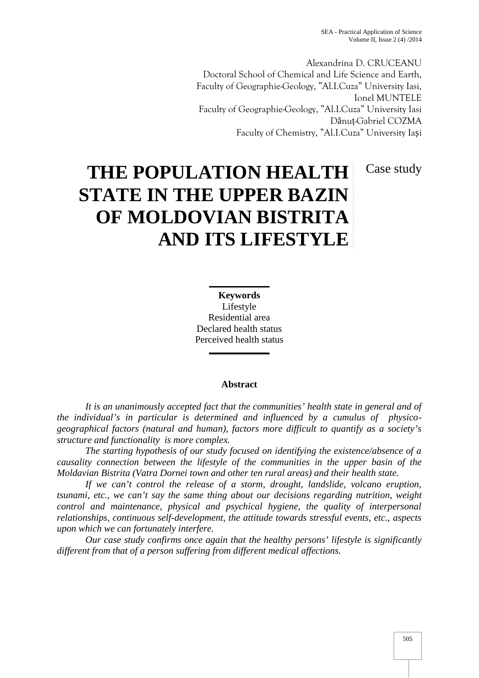Alexandrina D. CRUCEANU Doctoral School of Chemical and Life Science and Earth, Faculty of Geographie-Geology, "Al.I.Cuza" University Iasi, Ionel MUNTELE Faculty of Geographie-Geology, "Al.I.Cuza" University Iasi D nuț-Gabriel COZMA Faculty of Chemistry, "Al.I.Cuza" University Ia i

Case study

# **THE POPULATION HEALTH STATE IN THE UPPER BAZIN OF MOLDOVIAN BISTRITA AND ITS LIFESTYLE**

**Keywords** Lifestyle Residential area Declared health status Perceived health status

## **Abstract**

*It is an unanimously accepted fact that the communities' health state in general and of the individual's in particular is determined and influenced by a cumulus of physico geographical factors (natural and human), factors more difficult to quantify as a society's structure and functionality is more complex.*

*The starting hypothesis of our study focused on identifying the existence/absence of a causality connection between the lifestyle of the communities in the upper basin of the Moldavian Bistrita (Vatra Dornei town and other ten rural areas) and their health state.*

*If we can't control the release of a storm, drought, landslide, volcano eruption, tsunami, etc., we can't say the same thing about our decisions regarding nutrition, weight control and maintenance, physical and psychical hygiene, the quality of interpersonal relationships, continuous self-development, the attitude towards stressful events, etc., aspects upon which we can fortunately interfere.*

*Our case study confirms once again that the healthy persons' lifestyle is significantly different from that of a person suffering from different medical affections.*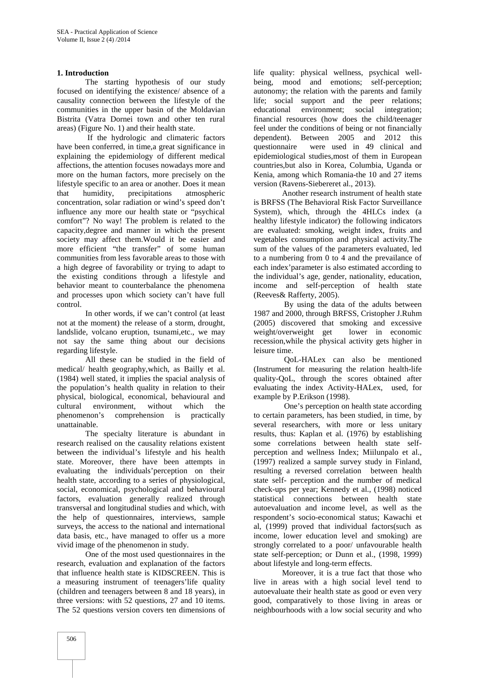### **1. Introduction**

The starting hypothesis of our study focused on identifying the existence/ absence of a causality connection between the lifestyle of the communities in the upper basin of the Moldavian Bistrita (Vatra Dornei town and other ten rural areas) (Figure No. 1) and their health state.

If the hydrologic and climateric factors have been conferred, in time, a great significance in questionnaire explaining the epidemiology of different medical affections, the attention focuses nowadays more and more on the human factors, more precisely on the lifestyle specific to an area or another. Does it mean that humidity, precipitations atmospheric concentration, solar radiation or wind's speed don't influence any more our health state or "psychical comfort"? No way! The problem is related to the capacity,degree and manner in which the present society may affect them.Would it be easier and more efficient "the transfer" of some human communities from less favorable areas to those with a high degree of favorability or trying to adapt to the existing conditions through a lifestyle and behavior meant to counterbalance the phenomena and processes upon which society can't have full control.

In other words, if we can't control (at least not at the moment) the release of a storm, drought, landslide, volcano eruption, tsunami,etc., we may not say the same thing about our decisions regarding lifestyle.

All these can be studied in the field of medical/ health geography,which, as Bailly et al. (1984) well stated, it implies the spacial analysis of the population's health quality in relation to their physical, biological, economical, behavioural and cultural environment, without which the phenomenon's comprehension is practically unattainable.

The specialty literature is abundant in research realised on the causality relations existent between the individual's lifestyle and his health state. Moreover, there have been attempts in evaluating the individuals'perception on their health state, according to a series of physiological, social, economical, psychological and behavioural factors, evaluation generally realized through transversal and longitudinal studies and which, with the help of questionnaires, interviews, sample surveys, the access to the national and international data basis, etc., have managed to offer us a more vivid image of the phenomenon in study.

One of the most used questionnaires in the research, evaluation and explanation of the factors that influence health state is KIDSCREEN. This is a measuring instrument of teenagers'life quality (children and teenagers between 8 and 18 years), in three versions: with 52 questions, 27 and 10 items. The 52 questions version covers ten dimensions of life quality: physical wellness, psychical well being, mood and emotions; self-perception; autonomy; the relation with the parents and family life; social support and the peer relations; environment; social integration; financial resources (how does the child/teenager feel under the conditions of being or not financially dependent). Between 2005 and 2012 this were used in 49 clinical and epidemiological studies,most of them in European countries,but also in Korea, Columbia, Uganda or Kenia, among which Romania-the 10 and 27 items version (Ravens-Siebereret al., 2013).

Another research instrument of health state is BRFSS (The Behavioral Risk Factor Surveillance System), which, through the 4HLCs index (a healthy lifestyle indicator) the following indicators are evaluated: smoking, weight index, fruits and vegetables consumption and physical activity.The sum of the values of the parameters evaluated, led to a numbering from 0 to 4 and the prevailance of each index'parameter is also estimated according to the individual's age, gender, nationality, education, income and self-perception of health state (Reeves& Rafferty, 2005).

By using the data of the adults between 1987 and 2000, through BRFSS, Cristopher J.Ruhm (2005) discovered that smoking and excessive weight/overweight get lower in economic recession,while the physical activity gets higher in leisure time.

QoL-HALex can also be mentioned (Instrument for measuring the relation health-life quality-QoL, through the scores obtained after evaluating the index Activity-HALex, used, for example by P.Erikson (1998).

One's perception on health state according to certain parameters, has been studied, in time, by several researchers, with more or less unitary results, thus: Kaplan et al. (1976) by establishing some correlations between health state self perception and wellness Index; Miilunpalo et al., (1997) realized a sample survey study in Finland, resulting a reversed correlation between health state self- perception and the number of medical check-ups per year; Kennedy et al., (1998) noticed statistical connections between health state autoevaluation and income level, as well as the respondent's socio-economical status; Kawachi et al, (1999) proved that individual factors(such as income, lower education level and smoking) are strongly correlated to a poor/ unfavourable health state self-perception; or Dunn et al., (1998, 1999) about lifestyle and long-term effects.

Moreover, it is a true fact that those who live in areas with a high social level tend to autoevaluate their health state as good or even very good, comparatively to those living in areas or neighbourhoods with a low social security and who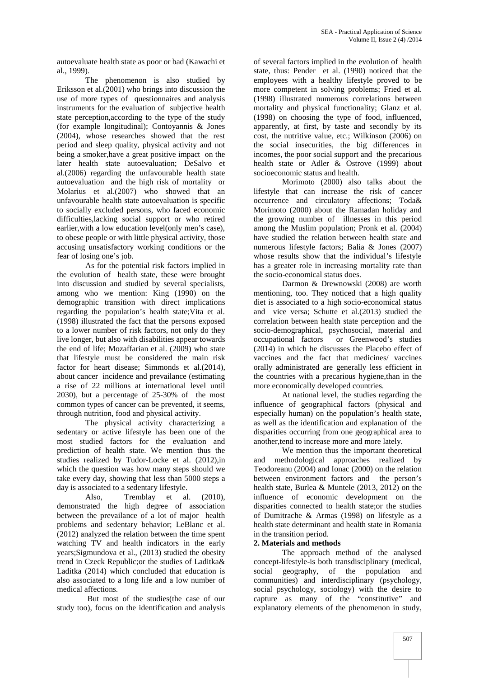autoevaluate health state as poor or bad (Kawachi et al., 1999).

The phenomenon is also studied by Eriksson et al.(2001) who brings into discussion the use of more types of questionnaires and analysis instruments for the evaluation of subjective health state perception,according to the type of the study (for example longitudinal); Contoyannis & Jones (2004), whose researches showed that the rest period and sleep quality, physical activity and not being a smoker,have a great positive impact on the later health state autoevaluation; DeSalvo et al.(2006) regarding the unfavourable health state autoevaluation and the high risk of mortality or Molarius et al.(2007) who showed that an unfavourable health state autoevaluation is specific to socially excluded persons, who faced economic difficulties,lacking social support or who retired earlier,with a low education level(only men's case), to obese people or with little physical activity, those accusing unsatisfactory working conditions or the fear of losing one's job.

As for the potential risk factors implied in the evolution of health state, these were brought into discussion and studied by several specialists, among who we mention: King (1990) on the demographic transition with direct implications regarding the population's health state;Vita et al. (1998) illustrated the fact that the persons exposed to a lower number of risk factors, not only do they socio-demographical, live longer, but also with disabilities appear towards occupational factors live longer, but also with disabilities appear towards the end of life; Mozaffarian et al. (2009) who state that lifestyle must be considered the main risk factor for heart disease; Simmonds et al.(2014), about cancer incidence and prevailance (estimating a rise of 22 millions at international level until 2030), but a percentage of 25-30% of the most common types of cancer can be prevented, it seems, through nutrition, food and physical activity.

The physical activity characterizing a sedentary or active lifestyle has been one of the most studied factors for the evaluation and prediction of health state. We mention thus the studies realized by Tudor-Locke et al. (2012),in which the question was how many steps should we take every day, showing that less than 5000 steps a day is associated to a sedentary lifestyle.

Also, Tremblay et al. (2010), demonstrated the high degree of association between the prevailance of a lot of major health problems and sedentary behavior; LeBlanc et al. (2012) analyzed the relation between the time spent watching TV and health indicators in the early years;Sigmundova et al., (2013) studied the obesity trend in Czeck Republic;or the studies of Laditka& Laditka (2014) which concluded that education is also associated to a long life and a low number of medical affections.

But most of the studies(the case of our study too), focus on the identification and analysis

of several factors implied in the evolution of health state, thus: Pender et al. (1990) noticed that the employees with a healthy lifestyle proved to be more competent in solving problems; Fried et al. (1998) illustrated numerous correlations between mortality and physical functionality; Glanz et al. (1998) on choosing the type of food, influenced, apparently, at first, by taste and secondly by its cost, the nutritive value, etc.; Wilkinson (2006) on the social insecurities, the big differences in incomes, the poor social support and the precarious health state or Adler & Ostrove (1999) about socioeconomic status and health.

Morimoto (2000) also talks about the lifestyle that can increase the risk of cancer occurrence and circulatory affections; Toda& Morimoto (2000) about the Ramadan holiday and the growing number of illnesses in this period among the Muslim population; Pronk et al. (2004) have studied the relation between health state and numerous lifestyle factors; Balia & Jones (2007) whose results show that the individual's lifestyle has a greater role in increasing mortality rate than the socio-economical status does.

Darmon & Drewnowski (2008) are worth mentioning, too. They noticed that a high quality diet is associated to a high socio-economical status and vice versa; Schutte et al.(2013) studied the correlation between health state perception and the socio-demographical, psychosocial, material and or Greenwood's studies (2014) in which he discusses the Placebo effect of vaccines and the fact that medicines/ vaccines orally administrated are generally less efficient in the countries with a precarious hygiene,than in the more economically developed countries.

At national level, the studies regarding the influence of geographical factors (physical and especially human) on the population's health state, as well as the identification and explanation of the disparities occurring from one geographical area to another,tend to increase more and more lately.

We mention thus the important theoretical and methodological approaches realized by Teodoreanu (2004) and Ionac (2000) on the relation between environment factors and the person's health state, Burlea & Muntele (2013, 2012) on the influence of economic development on the disparities connected to health state;or the studies of Dumitrache & Armas (1998) on lifestyle as a health state determinant and health state in Romania in the transition period.

# **2. Materials and methods**

The approach method of the analysed concept-lifestyle-is both transdisciplinary (medical, social geography, of the population and communities) and interdisciplinary (psychology, social psychology, sociology) with the desire to capture as many of the "constitutive" and explanatory elements of the phenomenon in study,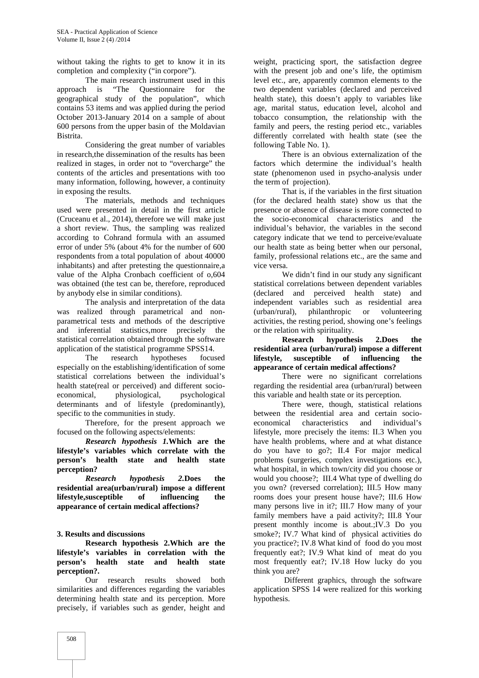without taking the rights to get to know it in its completion and complexity ("in corpore").

The main research instrument used in this approach is "The Questionnaire for the geographical study of the population", which contains 53 items and was applied during the period October 2013-January 2014 on a sample of about 600 persons from the upper basin of the Moldavian Bistrita.

Considering the great number of variables in research,the dissemination of the results has been realized in stages, in order not to "overcharge" the contents of the articles and presentations with too many information, following, however, a continuity in exposing the results.

The materials, methods and techniques used were presented in detail in the first article (Cruceanu et al., 2014), therefore we will make just a short review. Thus, the sampling was realized according to Cohrand formula with an assumed error of under 5% (about 4% for the number of 600 respondents from a total population of about 40000 inhabitants) and after pretesting the questionnaire,a value of the Alpha Cronbach coefficient of o,604 was obtained (the test can be, therefore, reproduced by anybody else in similar conditions).

The analysis and interpretation of the data was realized through parametrical and non parametrical tests and methods of the descriptive and inferential statistics,more precisely the statistical correlation obtained through the software application of the statistical programme SPSS14.

The research hypotheses focused **lifestyle**. especially on the establishing/identification of some statistical correlations between the individual's health state(real or perceived) and different socio economical, physiological, psychological determinants and of lifestyle (predominantly), specific to the communities in study.

Therefore, for the present approach we focused on the following aspects/elements:

*Research hypothesis 1.***Which are the lifestyle's variables which correlate with the person's health state and health state perception?**

*Research hypothesis 2.***Does the residential area(urban/rural) impose a different lifestyle,susceptible of influencing the appearance of certain medical affections?**

# **3. Results and discussions**

**Research hypothesis 2.Which are the lifestyle's variables in correlation with the person's health state and health state perception?.**

Our research results showed both similarities and differences regarding the variables determining health state and its perception. More precisely, if variables such as gender, height and

weight, practicing sport, the satisfaction degree with the present job and one's life, the optimism level etc., are, apparently common elements to the two dependent variables (declared and perceived health state), this doesn't apply to variables like age, marital status, education level, alcohol and tobacco consumption, the relationship with the family and peers, the resting period etc., variables differently correlated with health state (see the following Table No. 1).

There is an obvious externalization of the factors which determine the individual's health state (phenomenon used in psycho-analysis under the term of projection).

That is, if the variables in the first situation (for the declared health state) show us that the presence or absence of disease is more connected to the socio-economical characteristics and the individual's behavior, the variables in the second category indicate that we tend to perceive/evaluate our health state as being better when our personal, family, professional relations etc., are the same and vice versa.

We didn't find in our study any significant statistical correlations between dependent variables (declared and perceived health state) and independent variables such as residential area (urban/rural), philanthropic or volunteering activities, the resting period, showing one's feelings or the relation with spirituality.

**Research hypothesis 2.Does the residential area (urban/rural) impose a different lifestyle, susceptible of influencing the appearance of certain medical affections?**

There were no significant correlations regarding the residential area (urban/rural) between this variable and health state or its perception.

There were, though, statistical relations between the residential area and certain socio economical characteristics and individual's lifestyle, more precisely the items: II.3 When you have health problems, where and at what distance do you have to go?; II.4 For major medical problems (surgeries, complex investigations etc.), what hospital, in which town/city did you choose or would you choose?; III.4 What type of dwelling do you own? (reversed correlation); III.5 How many rooms does your present house have?; III.6 How many persons live in it?; III.7 How many of your family members have a paid activity?; III.8 Your present monthly income is about.;IV.3 Do you smoke?; IV.7 What kind of physical activities do you practice?; IV.8 What kind of food do you most frequently eat?; IV.9 What kind of meat do you most frequently eat?; IV.18 How lucky do you think you are?

Different graphics, through the software application SPSS 14 were realized for this working hypothesis.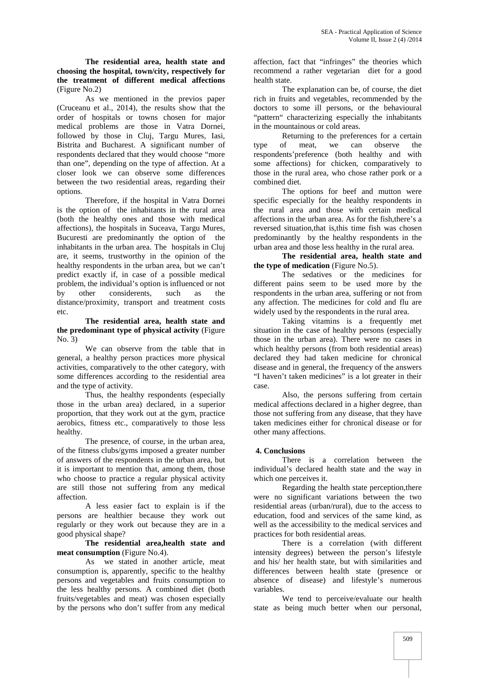**The residential area, health state and choosing the hospital, town/city, respectively for the treatment of different medical affections** (Figure No.2)

As we mentioned in the previos paper (Cruceanu et al., 2014), the results show that the order of hospitals or towns chosen for major medical problems are those in Vatra Dornei, followed by those in Cluj, Targu Mures, Iasi, Bistrita and Bucharest. A significant number of respondents declared that they would choose "more than one", depending on the type of affection. At a closer look we can observe some differences between the two residential areas, regarding their options.

Therefore, if the hospital in Vatra Dornei is the option of the inhabitants in the rural area (both the healthy ones and those with medical affections), the hospitals in Suceava, Targu Mures, Bucuresti are predominantly the option of the inhabitants in the urban area. The hospitals in Cluj are, it seems, trustworthy in the opinion of the healthy respondents in the urban area, but we can't predict exactly if, in case of a possible medical problem, the individual's option is influenced or not by other considerents, such as the distance/proximity, transport and treatment costs etc.

### **The residential area, health state and the predominant type of physical activity** (Figure No. 3)

We can observe from the table that in general, a healthy person practices more physical activities, comparatively to the other category, with some differences according to the residential area and the type of activity.

Thus, the healthy respondents (especially those in the urban area) declared, in a superior proportion, that they work out at the gym, practice aerobics, fitness etc., comparatively to those less healthy.

The presence, of course, in the urban area, of the fitness clubs/gyms imposed a greater number of answers of the respondents in the urban area, but it is important to mention that, among them, those who choose to practice a regular physical activity are still those not suffering from any medical affection.

A less easier fact to explain is if the persons are healthier because they work out regularly or they work out because they are in a good physical shape?

**The residential area,health state and meat consumption** (Figure No.4).

As we stated in another article, meat consumption is, apparently, specific to the healthy persons and vegetables and fruits consumption to the less healthy persons. A combined diet (both fruits/vegetables and meat) was chosen especially by the persons who don't suffer from any medical

affection, fact that "infringes" the theories which recommend a rather vegetarian diet for a good health state.

The explanation can be, of course, the diet rich in fruits and vegetables, recommended by the doctors to some ill persons, or the behavioural "pattern" characterizing especially the inhabitants in the mountainous or cold areas.

Returning to the preferences for a certain type of meat, we can observe the respondents'preference (both healthy and with some affections) for chicken, comparatively to those in the rural area, who chose rather pork or a combined diet.

The options for beef and mutton were specific especially for the healthy respondents in the rural area and those with certain medical affections in the urban area. As for the fish,there's a reversed situation,that is,this time fish was chosen predominantly by the healthy respondents in the urban area and those less healthy in the rural area.

**The residential area, health state and the type of medication** (Figure No.5).

The sedatives or the medicines for different pains seem to be used more by the respondents in the urban area, suffering or not from any affection. The medicines for cold and flu are widely used by the respondents in the rural area.

Taking vitamins is a frequently met situation in the case of healthy persons (especially those in the urban area). There were no cases in which healthy persons (from both residential areas) declared they had taken medicine for chronical disease and in general, the frequency of the answers "I haven't taken medicines" is a lot greater in their case.

Also, the persons suffering from certain medical affections declared in a higher degree, than those not suffering from any disease, that they have taken medicines either for chronical disease or for other many affections.

# **4. Conclusions**

There is a correlation between the individual's declared health state and the way in which one perceives it.

Regarding the health state perception,there were no significant variations between the two residential areas (urban/rural), due to the access to education, food and services of the same kind, as well as the accessibility to the medical services and practices for both residential areas.

There is a correlation (with different intensity degrees) between the person's lifestyle and his/ her health state, but with similarities and differences between health state (presence or absence of disease) and lifestyle's numerous variables.

We tend to perceive/evaluate our health state as being much better when our personal,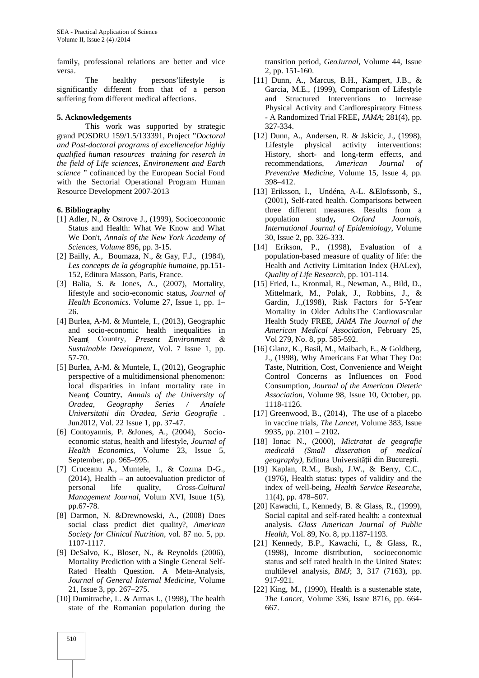family, professional relations are better and vice versa.

The healthy persons'lifestyle is significantly different from that of a person suffering from different medical affections.

#### **5. Acknowledgements**

This work was supported by strategic grand POSDRU 159/1.5/133391, Project "*Doctoral and Post-doctoral programs of excellencefor highly qualified human resources training for reserch in the field of Life sciences, Environement and Earth science* " cofinanced by the European Social Fond with the Sectorial Operational Program Human Resource Development 2007-2013

#### **6. Bibliography**

- [1] Adler, N., & Ostrove J., (1999), Socioeconomic Status and Health: What We Know and What We Don't, *Annals of the New York Academy of Sciences, Volume* 896, pp. 3-15.
- [2] Bailly, A., Boumaza, N., & Gay, F.J., (1984), *Les concepts de la géographie humaine,* pp*.*151- 152, Editura Masson, Paris, France.
- [3] Balia, S. & Jones, A., (2007), Mortality, lifestyle and socio-economic status**,** *Journal of Health Economics*. Volume 27, Issue 1, pp. 1– 26.
- [4] Burlea, A-M. & Muntele, I., (2013), Geographic and socio-economic health inequalities in Neamț Country, *Present Environment & Sustainable Development*, Vol. 7 Issue 1, pp. 57-70.
- [5] Burlea, A-M. & Muntele, I., (2012), Geographic perspective of a multidimensional phenomenon: local disparities in infant mortality rate in Neamț Country, *Annals of the University of Oradea, Geography Series / Analele Universitatii din Oradea, Seria Geografie* . Jun2012, Vol. 22 Issue 1, pp. 37-47.
- [6] Contoyannis, P. &Jones, A., (2004), Socio economic status, health and lifestyle, *Journal of Health Economics*, Volume 23, Issue 5, September, pp. 965–995.
- [7] Cruceanu A., Muntele, I., & Cozma D-G., (2014), Health – an autoevaluation predictor of personal life quality, *Cross-Cultural Management Journal*, Volum XVI, Isuue 1(5), pp.67-78.
- [8] Darmon, N. &Drewnowski, A., (2008) Does social class predict diet quality?, *American Society for Clinical Nutrition,* vol. 87 no. 5, pp. 1107-1117.
- [9] DeSalvo, K., Bloser, N., & Reynolds (2006), Mortality Prediction with a Single General Self- Rated Health Question. A Meta-Analysis, *Journal of General Internal Medicine*, Volume 21, Issue 3, pp. 267–275.
- [10] Dumitrache, L. & Armas I., (1998), The health state of the Romanian population during the

transition period, *GeoJurnal*, Volume 44, Issue 2, pp. 151-160.

- [11] Dunn, A., Marcus, B.H., Kampert, J.B., & Garcia, M.E., (1999), Comparison of Lifestyle and Structured Interventions to Increase Physical Activity and Cardiorespiratory Fitness - A Randomized Trial FREE**,** *JAMA*; 281(4), pp. 327-334.
- [12] Dunn, A., Andersen, R. & Jskicic, J., (1998), Lifestyle physical activity interventions: History, short- and long-term effects, and recommendations, *American Journal of Preventive Medicine,* Volume 15, Issue 4, pp. 398–412.
- [13] Eriksson, I., Undéna, A-L. &Elofssonb, S., (2001), Self-rated health. Comparisons between three different measures. Results from a population study**,** *Oxford Journals, International Journal of Epidemiology*, Volume 30, Issue 2, pp. 326-333.
- [14] Erikson, P., (1998), Evaluation of a population-based measure of quality of life: the Health and Activity Limitation Index (HALex), *Quality of Life Research*, pp. 101-114.
- [15] Fried, L., Kronmal, R., Newman, A., Bild, D., Mittelmark, M., Polak, J., Robbins, J., & Gardin, J.,(1998), Risk Factors for 5-Year Mortality in Older AdultsThe Cardiovascular Health Study FREE, *JAMA The Journal of the American Medical Association*, February 25, Vol 279, No. 8, pp. 585-592.
- [16] Glanz, K., Basil, M., Maibach, E., & Goldberg, J., (1998), Why Americans Eat What They Do: Taste, Nutrition, Cost, Convenience and Weight Control Concerns as Influences on Food Consumption, *Journal of the American Dietetic Association*, Volume 98, Issue 10, October, pp. 1118-1126.
- [17] Greenwood, B., (2014). The use of a placebo in vaccine trials, *The Lancet*, Volume 383, Issue 9935, pp. 2101 – 2102**.**
- [18] Ionac N., (2000), *Mictratat de geografie medicală (Small disseration of medical geography)*, Editura Universității din București.
- [19] Kaplan, R.M., Bush, J.W., & Berry, C.C., (1976), Health status: types of validity and the index of well-being, *Health Service Researche*, 11(4), pp. 478–507.
- [20] Kawachi, I., Kennedy, B. & Glass, R., (1999), Social capital and self-rated health: a contextual analysis. *Glass American Journal of Public Health*, Vol. 89, No. 8, pp.1187-1193.
- [21] Kennedy, B.P., Kawachi, I., & Glass, R., (1998), Income distribution, socioeconomic status and self rated health in the United States: multilevel analysis, *BMJ*; 3, 317 (7163), pp. 917-921.
- [22] King, M., (1990), Health is a sustenable state, *The Lancet*, Volume 336, Issue 8716, pp. 664- 667.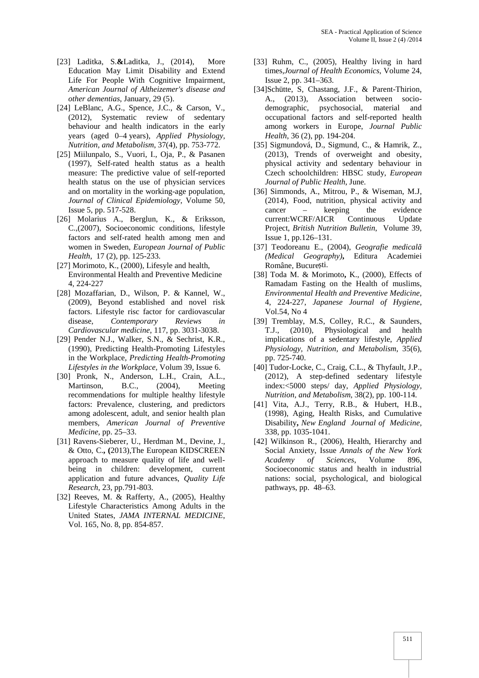- [23] Laditka, S.**&**Laditka, J., (2014), More Education May Limit Disability and Extend Life For People With Cognitive Impairment, *American Journal of Altheizemer's disease and other dementias*, January, 29 (5).
- [24] LeBlanc, A.G., Spence, J.C., & Carson, V., (2012), Systematic review of sedentary behaviour and health indicators in the early years (aged 0–4 years), *Applied Physiology, Nutrition, and Metabolism*, 37(4), pp. 753-772.
- [25] Miilunpalo, S., Vuori, I., Oja, P., & Pasanen (1997), Self-rated health status as a health measure: The predictive value of self-reported health status on the use of physician services and on mortality in the working-age population, *Journal of Clinical Epidemiology*, Volume 50, Issue 5, pp. 517-528.
- [26] Molarius A., Berglun, K., & Eriksson, C.,(2007), Socioeconomic conditions, lifestyle factors and self-rated health among men and women in Sweden, *European Journal of Public Health*, 17 (2), pp. 125-233.
- [27] Morimoto, K., (2000), Lifesyle and health, Environmental Health and Preventive Medicine 4, 224-227
- [28] Mozaffarian, D., Wilson, P. & Kannel, W., (2009), Beyond established and novel risk factors. Lifestyle risc factor for cardiovascular disease, *Contemporary Reviews in Cardiovascular medicine*, 117, pp. 3031-3038.
- [29] Pender N.J., Walker, S.N., & Sechrist, K.R., (1990), Predicting Health-Promoting Lifestyles in the Workplace, *Predicting Health-Promoting Lifestyles in the Workplace,* Volum 39, Issue 6.
- [30] Pronk, N., Anderson, L.H., Crain, A.L., Martinson, B.C., (2004), Meeting recommendations for multiple healthy lifestyle factors: Prevalence, clustering, and predictors among adolescent, adult, and senior health plan members, *American Journal of Preventive Medicine*, pp. 25–33.
- [31] Ravens-Sieberer, U., Herdman M., Devine, J., & Otto, C.**, (**2013),The European KIDSCREEN approach to measure quality of life and well being in children: development, current application and future advances, *Quality Life Research*, 23, pp.791-803.
- [32] Reeves, M. & Rafferty, A., (2005), Healthy Lifestyle Characteristics Among Adults in the United States, *JAMA INTERNAL MEDICINE*, Vol. 165, No. 8, pp. 854-857.
- [33] Ruhm, C., (2005), Healthy living in hard times,*Journal of Health Economics*, Volume 24, Issue 2, pp. 341–363.
- [34]Schütte, S, Chastang, J.F., & Parent-Thirion, A., (2013), Association between socio demographic, psychosocial, material and occupational factors and self-reported health among workers in Europe, *Journal Public Health*, 36 (2), pp. 194-204.
- [35] Sigmundová, D., Sigmund, C., & Hamrik, Z., (2013), Trends of overweight and obesity, physical activity and sedentary behaviour in Czech schoolchildren: HBSC study, *European Journal of Public Health*, June.
- [36] Simmonds, A., Mitrou, P., & Wiseman, M.J, (2014), Food, nutrition, physical activity and cancer – keeping the evidence current:WCRF/AICR Continuous Update Project, *British Nutrition Bulletin*, Volume 39, Issue 1, pp.126–131.
- [37] Teodoreanu E., (2004), *Geografie medical (Medical Geography)***,** Editura Academiei Române, Bucure ti.
- [38] Toda M. & Morimoto**,** K., (2000), Effects of Ramadam Fasting on the Health of muslims, *Environmental Health and Preventive Medicine,* 4, 224-227, *Japanese Journal of Hygiene*, Vol.54, No 4
- [39] Tremblay, M.S, Colley, R.C., & Saunders, T.J., (2010), Physiological and health implications of a sedentary lifestyle, *Applied Physiology, Nutrition, and Metabolism*, 35(6), pp. 725-740.
- [40] Tudor-Locke, C., Craig, C.L., & Thyfault, J.P., (2012), A step-defined sedentary lifestyle index:<5000 steps/ day, *Applied Physiology, Nutrition, and Metabolism*, 38(2), pp. 100-114.
- [41] Vita, A.J., Terry, R.B., & Hubert, H.B., (1998), Aging, Health Risks, and Cumulative Disability**,** *New England Journal of Medicine*, 338, pp. 1035-1041.
- [42] Wilkinson R., (2006), Health, Hierarchy and Social Anxiety, Issue *Annals of the New York Academy of Sciences*, Volume 896, Socioeconomic status and health in industrial nations: social, psychological, and biological pathways, pp. 48–63.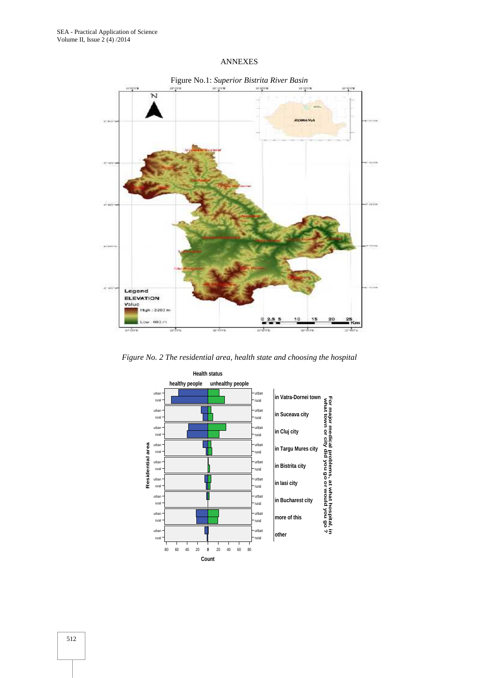## ANNEXES



*Figure No. 2 The residential area, health state and choosing the hospital*

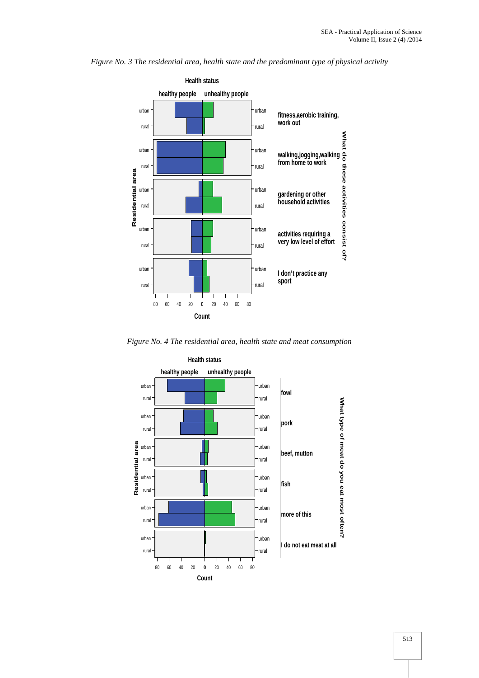



*Figure No. 4 The residential area, health state and meat consumption*